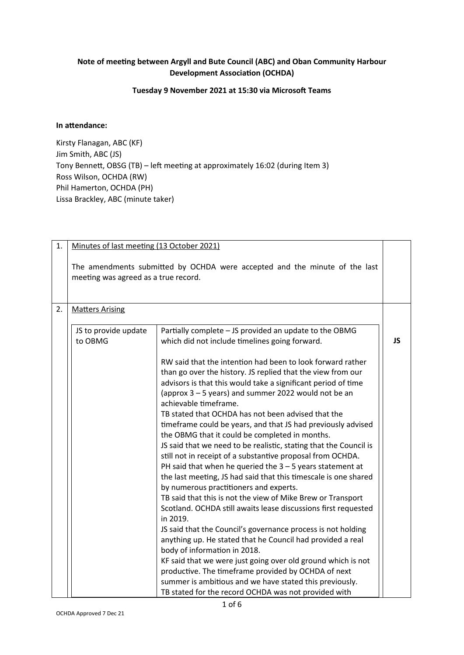## **Note of meeting between Argyll and Bute Council (ABC) and Oban Community Harbour Development Association (OCHDA)**

## **Tuesday 9 November 2021 at 15:30 via Microsoft Teams**

## **In attendance:**

Kirsty Flanagan, ABC (KF) Jim Smith, ABC (JS) Tony Bennett, OBSG (TB) – left meeting at approximately 16:02 (during Item 3) Ross Wilson, OCHDA (RW) Phil Hamerton, OCHDA (PH) Lissa Brackley, ABC (minute taker)

| 1. | Minutes of last meeting (13 October 2021) |                                                                                                                                                                                                                                                                             |    |
|----|-------------------------------------------|-----------------------------------------------------------------------------------------------------------------------------------------------------------------------------------------------------------------------------------------------------------------------------|----|
|    | meeting was agreed as a true record.      | The amendments submitted by OCHDA were accepted and the minute of the last                                                                                                                                                                                                  |    |
| 2. | <b>Matters Arising</b>                    |                                                                                                                                                                                                                                                                             |    |
|    | JS to provide update<br>to OBMG           | Partially complete - JS provided an update to the OBMG<br>which did not include timelines going forward.                                                                                                                                                                    | JS |
|    |                                           | RW said that the intention had been to look forward rather<br>than go over the history. JS replied that the view from our<br>advisors is that this would take a significant period of time<br>(approx 3 – 5 years) and summer 2022 would not be an<br>achievable timeframe. |    |
|    |                                           | TB stated that OCHDA has not been advised that the<br>timeframe could be years, and that JS had previously advised<br>the OBMG that it could be completed in months.<br>JS said that we need to be realistic, stating that the Council is                                   |    |
|    |                                           | still not in receipt of a substantive proposal from OCHDA.<br>PH said that when he queried the $3 - 5$ years statement at<br>the last meeting, JS had said that this timescale is one shared<br>by numerous practitioners and experts.                                      |    |
|    |                                           | TB said that this is not the view of Mike Brew or Transport<br>Scotland. OCHDA still awaits lease discussions first requested<br>in 2019.<br>JS said that the Council's governance process is not holding                                                                   |    |
|    |                                           | anything up. He stated that he Council had provided a real<br>body of information in 2018.                                                                                                                                                                                  |    |
|    |                                           | KF said that we were just going over old ground which is not<br>productive. The timeframe provided by OCHDA of next<br>summer is ambitious and we have stated this previously.<br>TB stated for the record OCHDA was not provided with                                      |    |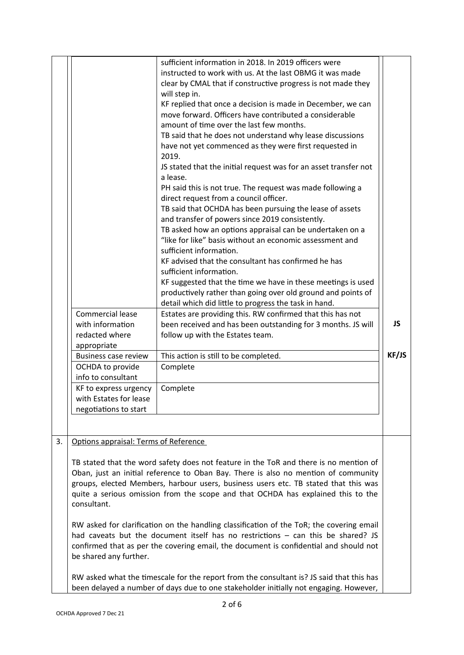|    |                                                                          | sufficient information in 2018. In 2019 officers were<br>instructed to work with us. At the last OBMG it was made<br>clear by CMAL that if constructive progress is not made they<br>will step in.<br>KF replied that once a decision is made in December, we can<br>move forward. Officers have contributed a considerable<br>amount of time over the last few months.<br>TB said that he does not understand why lease discussions<br>have not yet commenced as they were first requested in<br>2019. |       |
|----|--------------------------------------------------------------------------|---------------------------------------------------------------------------------------------------------------------------------------------------------------------------------------------------------------------------------------------------------------------------------------------------------------------------------------------------------------------------------------------------------------------------------------------------------------------------------------------------------|-------|
|    |                                                                          | JS stated that the initial request was for an asset transfer not<br>a lease.<br>PH said this is not true. The request was made following a<br>direct request from a council officer.<br>TB said that OCHDA has been pursuing the lease of assets                                                                                                                                                                                                                                                        |       |
|    |                                                                          | and transfer of powers since 2019 consistently.<br>TB asked how an options appraisal can be undertaken on a<br>"like for like" basis without an economic assessment and<br>sufficient information.                                                                                                                                                                                                                                                                                                      |       |
|    |                                                                          | KF advised that the consultant has confirmed he has<br>sufficient information.<br>KF suggested that the time we have in these meetings is used<br>productively rather than going over old ground and points of<br>detail which did little to progress the task in hand.                                                                                                                                                                                                                                 |       |
|    | Commercial lease<br>with information<br>redacted where<br>appropriate    | Estates are providing this. RW confirmed that this has not<br>been received and has been outstanding for 3 months. JS will<br>follow up with the Estates team.                                                                                                                                                                                                                                                                                                                                          | JS    |
|    | <b>Business case review</b><br>OCHDA to provide<br>info to consultant    | This action is still to be completed.<br>Complete                                                                                                                                                                                                                                                                                                                                                                                                                                                       | KF/JS |
|    | KF to express urgency<br>with Estates for lease<br>negotiations to start | Complete                                                                                                                                                                                                                                                                                                                                                                                                                                                                                                |       |
| 3. | Options appraisal: Terms of Reference                                    |                                                                                                                                                                                                                                                                                                                                                                                                                                                                                                         |       |
|    | consultant.                                                              | TB stated that the word safety does not feature in the ToR and there is no mention of<br>Oban, just an initial reference to Oban Bay. There is also no mention of community<br>groups, elected Members, harbour users, business users etc. TB stated that this was<br>quite a serious omission from the scope and that OCHDA has explained this to the                                                                                                                                                  |       |
|    | be shared any further.                                                   | RW asked for clarification on the handling classification of the ToR; the covering email<br>had caveats but the document itself has no restrictions - can this be shared? JS<br>confirmed that as per the covering email, the document is confidential and should not                                                                                                                                                                                                                                   |       |
|    |                                                                          | RW asked what the timescale for the report from the consultant is? JS said that this has                                                                                                                                                                                                                                                                                                                                                                                                                |       |

been delayed a number of days due to one stakeholder initially not engaging. However,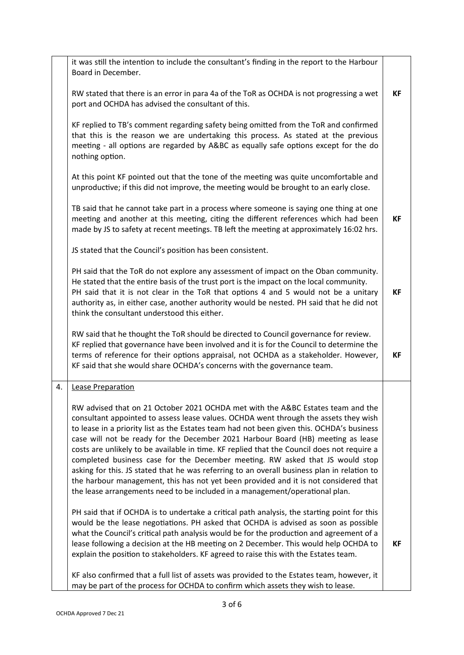|    | it was still the intention to include the consultant's finding in the report to the Harbour<br>Board in December.                                                                                                                                                                                                                                                                                                                                                                                                                                                                                                                                                                                                                                                                                              |           |
|----|----------------------------------------------------------------------------------------------------------------------------------------------------------------------------------------------------------------------------------------------------------------------------------------------------------------------------------------------------------------------------------------------------------------------------------------------------------------------------------------------------------------------------------------------------------------------------------------------------------------------------------------------------------------------------------------------------------------------------------------------------------------------------------------------------------------|-----------|
|    | RW stated that there is an error in para 4a of the ToR as OCHDA is not progressing a wet<br>port and OCHDA has advised the consultant of this.                                                                                                                                                                                                                                                                                                                                                                                                                                                                                                                                                                                                                                                                 | КF        |
|    | KF replied to TB's comment regarding safety being omitted from the ToR and confirmed<br>that this is the reason we are undertaking this process. As stated at the previous<br>meeting - all options are regarded by A&BC as equally safe options except for the do<br>nothing option.                                                                                                                                                                                                                                                                                                                                                                                                                                                                                                                          |           |
|    | At this point KF pointed out that the tone of the meeting was quite uncomfortable and<br>unproductive; if this did not improve, the meeting would be brought to an early close.                                                                                                                                                                                                                                                                                                                                                                                                                                                                                                                                                                                                                                |           |
|    | TB said that he cannot take part in a process where someone is saying one thing at one<br>meeting and another at this meeting, citing the different references which had been<br>made by JS to safety at recent meetings. TB left the meeting at approximately 16:02 hrs.                                                                                                                                                                                                                                                                                                                                                                                                                                                                                                                                      | <b>KF</b> |
|    | JS stated that the Council's position has been consistent.                                                                                                                                                                                                                                                                                                                                                                                                                                                                                                                                                                                                                                                                                                                                                     |           |
|    | PH said that the ToR do not explore any assessment of impact on the Oban community.<br>He stated that the entire basis of the trust port is the impact on the local community.<br>PH said that it is not clear in the ToR that options 4 and 5 would not be a unitary<br>authority as, in either case, another authority would be nested. PH said that he did not<br>think the consultant understood this either.                                                                                                                                                                                                                                                                                                                                                                                              | <b>KF</b> |
|    | RW said that he thought the ToR should be directed to Council governance for review.<br>KF replied that governance have been involved and it is for the Council to determine the<br>terms of reference for their options appraisal, not OCHDA as a stakeholder. However,<br>KF said that she would share OCHDA's concerns with the governance team.                                                                                                                                                                                                                                                                                                                                                                                                                                                            | КF        |
| 4. | Lease Preparation                                                                                                                                                                                                                                                                                                                                                                                                                                                                                                                                                                                                                                                                                                                                                                                              |           |
|    | RW advised that on 21 October 2021 OCHDA met with the A&BC Estates team and the<br>consultant appointed to assess lease values. OCHDA went through the assets they wish<br>to lease in a priority list as the Estates team had not been given this. OCHDA's business<br>case will not be ready for the December 2021 Harbour Board (HB) meeting as lease<br>costs are unlikely to be available in time. KF replied that the Council does not require a<br>completed business case for the December meeting. RW asked that JS would stop<br>asking for this. JS stated that he was referring to an overall business plan in relation to<br>the harbour management, this has not yet been provided and it is not considered that<br>the lease arrangements need to be included in a management/operational plan. |           |
|    | PH said that if OCHDA is to undertake a critical path analysis, the starting point for this<br>would be the lease negotiations. PH asked that OCHDA is advised as soon as possible<br>what the Council's critical path analysis would be for the production and agreement of a<br>lease following a decision at the HB meeting on 2 December. This would help OCHDA to<br>explain the position to stakeholders. KF agreed to raise this with the Estates team.                                                                                                                                                                                                                                                                                                                                                 | КF        |
|    | KF also confirmed that a full list of assets was provided to the Estates team, however, it<br>may be part of the process for OCHDA to confirm which assets they wish to lease.                                                                                                                                                                                                                                                                                                                                                                                                                                                                                                                                                                                                                                 |           |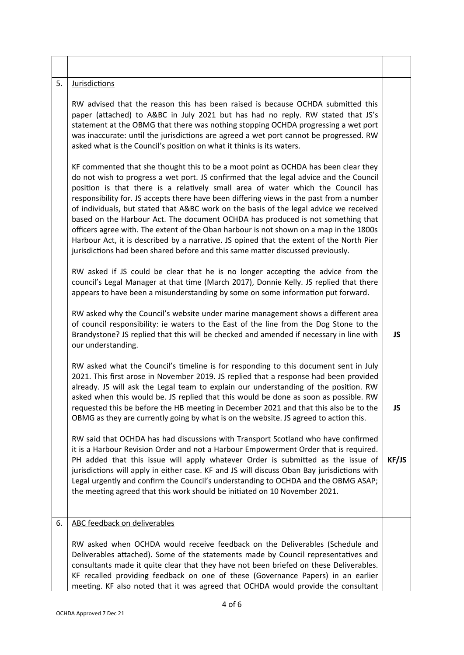| 5. | <b>Jurisdictions</b>                                                                                                                                                                                                                                                                                                                                                                                                                                                                                                                                                                                                                                                                                                                                                                                               |           |
|----|--------------------------------------------------------------------------------------------------------------------------------------------------------------------------------------------------------------------------------------------------------------------------------------------------------------------------------------------------------------------------------------------------------------------------------------------------------------------------------------------------------------------------------------------------------------------------------------------------------------------------------------------------------------------------------------------------------------------------------------------------------------------------------------------------------------------|-----------|
|    | RW advised that the reason this has been raised is because OCHDA submitted this<br>paper (attached) to A&BC in July 2021 but has had no reply. RW stated that JS's<br>statement at the OBMG that there was nothing stopping OCHDA progressing a wet port<br>was inaccurate: until the jurisdictions are agreed a wet port cannot be progressed. RW<br>asked what is the Council's position on what it thinks is its waters.                                                                                                                                                                                                                                                                                                                                                                                        |           |
|    | KF commented that she thought this to be a moot point as OCHDA has been clear they<br>do not wish to progress a wet port. JS confirmed that the legal advice and the Council<br>position is that there is a relatively small area of water which the Council has<br>responsibility for. JS accepts there have been differing views in the past from a number<br>of individuals, but stated that A&BC work on the basis of the legal advice we received<br>based on the Harbour Act. The document OCHDA has produced is not something that<br>officers agree with. The extent of the Oban harbour is not shown on a map in the 1800s<br>Harbour Act, it is described by a narrative. JS opined that the extent of the North Pier<br>jurisdictions had been shared before and this same matter discussed previously. |           |
|    | RW asked if JS could be clear that he is no longer accepting the advice from the<br>council's Legal Manager at that time (March 2017), Donnie Kelly. JS replied that there<br>appears to have been a misunderstanding by some on some information put forward.                                                                                                                                                                                                                                                                                                                                                                                                                                                                                                                                                     |           |
|    | RW asked why the Council's website under marine management shows a different area<br>of council responsibility: ie waters to the East of the line from the Dog Stone to the<br>Brandystone? JS replied that this will be checked and amended if necessary in line with<br>our understanding.                                                                                                                                                                                                                                                                                                                                                                                                                                                                                                                       | <b>JS</b> |
|    | RW asked what the Council's timeline is for responding to this document sent in July<br>2021. This first arose in November 2019. JS replied that a response had been provided<br>already. JS will ask the Legal team to explain our understanding of the position. RW<br>asked when this would be. JS replied that this would be done as soon as possible. RW<br>requested this be before the HB meeting in December 2021 and that this also be to the<br>OBMG as they are currently going by what is on the website. JS agreed to action this.                                                                                                                                                                                                                                                                    | JS        |
|    | RW said that OCHDA has had discussions with Transport Scotland who have confirmed<br>it is a Harbour Revision Order and not a Harbour Empowerment Order that is required.<br>PH added that this issue will apply whatever Order is submitted as the issue of<br>jurisdictions will apply in either case. KF and JS will discuss Oban Bay jurisdictions with<br>Legal urgently and confirm the Council's understanding to OCHDA and the OBMG ASAP;<br>the meeting agreed that this work should be initiated on 10 November 2021.                                                                                                                                                                                                                                                                                    | KF/JS     |
| 6. | ABC feedback on deliverables                                                                                                                                                                                                                                                                                                                                                                                                                                                                                                                                                                                                                                                                                                                                                                                       |           |
|    | RW asked when OCHDA would receive feedback on the Deliverables (Schedule and<br>Deliverables attached). Some of the statements made by Council representatives and<br>consultants made it quite clear that they have not been briefed on these Deliverables.<br>KF recalled providing feedback on one of these (Governance Papers) in an earlier<br>meeting. KF also noted that it was agreed that OCHDA would provide the consultant                                                                                                                                                                                                                                                                                                                                                                              |           |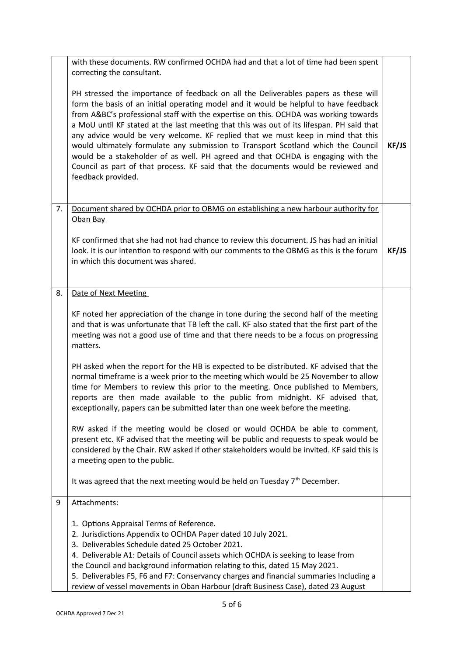|    | with these documents. RW confirmed OCHDA had and that a lot of time had been spent<br>correcting the consultant.                                                                                                                                                                                                                                                                                                                                                                                                                                                                                                                                                                                                                          |       |
|----|-------------------------------------------------------------------------------------------------------------------------------------------------------------------------------------------------------------------------------------------------------------------------------------------------------------------------------------------------------------------------------------------------------------------------------------------------------------------------------------------------------------------------------------------------------------------------------------------------------------------------------------------------------------------------------------------------------------------------------------------|-------|
|    | PH stressed the importance of feedback on all the Deliverables papers as these will<br>form the basis of an initial operating model and it would be helpful to have feedback<br>from A&BC's professional staff with the expertise on this. OCHDA was working towards<br>a MoU until KF stated at the last meeting that this was out of its lifespan. PH said that<br>any advice would be very welcome. KF replied that we must keep in mind that this<br>would ultimately formulate any submission to Transport Scotland which the Council<br>would be a stakeholder of as well. PH agreed and that OCHDA is engaging with the<br>Council as part of that process. KF said that the documents would be reviewed and<br>feedback provided. | KF/JS |
| 7. | Document shared by OCHDA prior to OBMG on establishing a new harbour authority for<br>Oban Bay                                                                                                                                                                                                                                                                                                                                                                                                                                                                                                                                                                                                                                            |       |
|    | KF confirmed that she had not had chance to review this document. JS has had an initial<br>look. It is our intention to respond with our comments to the OBMG as this is the forum<br>in which this document was shared.                                                                                                                                                                                                                                                                                                                                                                                                                                                                                                                  | KF/JS |
| 8. | Date of Next Meeting                                                                                                                                                                                                                                                                                                                                                                                                                                                                                                                                                                                                                                                                                                                      |       |
|    | KF noted her appreciation of the change in tone during the second half of the meeting<br>and that is was unfortunate that TB left the call. KF also stated that the first part of the<br>meeting was not a good use of time and that there needs to be a focus on progressing<br>matters.                                                                                                                                                                                                                                                                                                                                                                                                                                                 |       |
|    | PH asked when the report for the HB is expected to be distributed. KF advised that the<br>normal timeframe is a week prior to the meeting which would be 25 November to allow<br>time for Members to review this prior to the meeting. Once published to Members,<br>reports are then made available to the public from midnight. KF advised that,<br>exceptionally, papers can be submitted later than one week before the meeting.                                                                                                                                                                                                                                                                                                      |       |
|    | RW asked if the meeting would be closed or would OCHDA be able to comment,<br>present etc. KF advised that the meeting will be public and requests to speak would be<br>considered by the Chair. RW asked if other stakeholders would be invited. KF said this is<br>a meeting open to the public.                                                                                                                                                                                                                                                                                                                                                                                                                                        |       |
|    | It was agreed that the next meeting would be held on Tuesday 7 <sup>th</sup> December.                                                                                                                                                                                                                                                                                                                                                                                                                                                                                                                                                                                                                                                    |       |
| 9  | Attachments:                                                                                                                                                                                                                                                                                                                                                                                                                                                                                                                                                                                                                                                                                                                              |       |
|    | 1. Options Appraisal Terms of Reference.<br>2. Jurisdictions Appendix to OCHDA Paper dated 10 July 2021.<br>3. Deliverables Schedule dated 25 October 2021.<br>4. Deliverable A1: Details of Council assets which OCHDA is seeking to lease from<br>the Council and background information relating to this, dated 15 May 2021.<br>5. Deliverables F5, F6 and F7: Conservancy charges and financial summaries Including a<br>review of vessel movements in Oban Harbour (draft Business Case), dated 23 August                                                                                                                                                                                                                            |       |